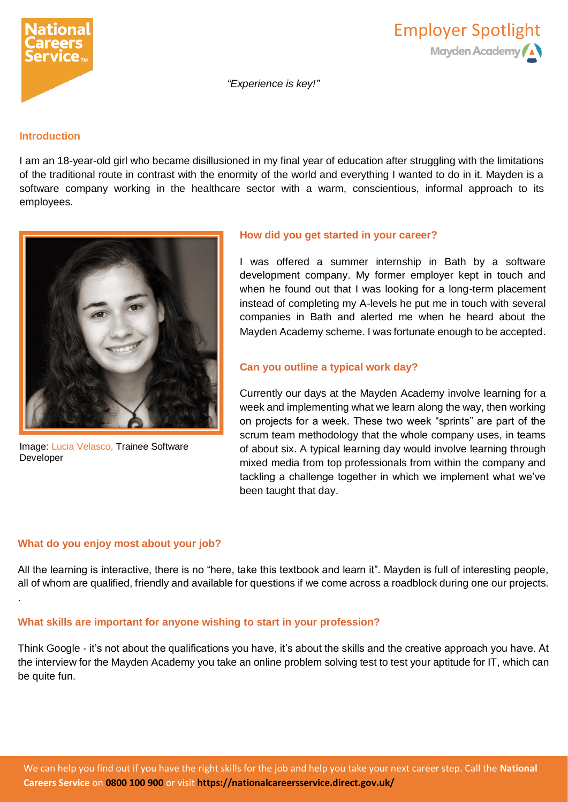



*"Experience is key!"*

### **Introduction**

I am an 18-year-old girl who became disillusioned in my final year of education after struggling with the limitations of the traditional route in contrast with the enormity of the world and everything I wanted to do in it. Mayden is a software company working in the healthcare sector with a warm, conscientious, informal approach to its employees.



Image: Lucia Velasco, Trainee Software Developer

## **How did you get started in your career?**

I was offered a summer internship in Bath by a software development company. My former employer kept in touch and when he found out that I was looking for a long-term placement instead of completing my A-levels he put me in touch with several companies in Bath and alerted me when he heard about the Mayden Academy scheme. I was fortunate enough to be accepted.

# **Can you outline a typical work day?**

Currently our days at the Mayden Academy involve learning for a week and implementing what we learn along the way, then working on projects for a week. These two week "sprints" are part of the scrum team methodology that the whole company uses, in teams of about six. A typical learning day would involve learning through mixed media from top professionals from within the company and tackling a challenge together in which we implement what we've been taught that day.

# **What do you enjoy most about your job?**

.

All the learning is interactive, there is no "here, take this textbook and learn it". Mayden is full of interesting people, all of whom are qualified, friendly and available for questions if we come across a roadblock during one our projects.

# **What skills are important for anyone wishing to start in your profession?**

Think Google - it's not about the qualifications you have, it's about the skills and the creative approach you have. At the interview for the Mayden Academy you take an online problem solving test to test your aptitude for IT, which can be quite fun.